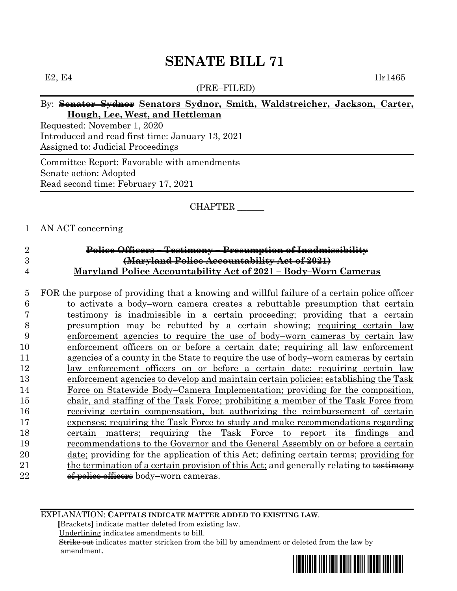# **SENATE BILL 71**

(PRE–FILED)

E2, E4  $1\text{ln}1465$ 

### By: **Senator Sydnor Senators Sydnor, Smith, Waldstreicher, Jackson, Carter, Hough, Lee, West, and Hettleman**

Requested: November 1, 2020 Introduced and read first time: January 13, 2021 Assigned to: Judicial Proceedings

Committee Report: Favorable with amendments Senate action: Adopted Read second time: February 17, 2021

#### CHAPTER \_\_\_\_\_\_

#### 1 AN ACT concerning

### 2 **Police Officers – Testimony – Presumption of Inadmissibility** 3 **(Maryland Police Accountability Act of 2021)**  4 **Maryland Police Accountability Act of 2021 – Body–Worn Cameras**

 FOR the purpose of providing that a knowing and willful failure of a certain police officer to activate a body–worn camera creates a rebuttable presumption that certain testimony is inadmissible in a certain proceeding; providing that a certain presumption may be rebutted by a certain showing; requiring certain law enforcement agencies to require the use of body–worn cameras by certain law enforcement officers on or before a certain date; requiring all law enforcement agencies of a county in the State to require the use of body–worn cameras by certain law enforcement officers on or before a certain date; requiring certain law enforcement agencies to develop and maintain certain policies; establishing the Task Force on Statewide Body–Camera Implementation; providing for the composition, chair, and staffing of the Task Force; prohibiting a member of the Task Force from receiving certain compensation, but authorizing the reimbursement of certain expenses; requiring the Task Force to study and make recommendations regarding certain matters; requiring the Task Force to report its findings and recommendations to the Governor and the General Assembly on or before a certain date; providing for the application of this Act; defining certain terms; providing for 21 the termination of a certain provision of this Act; and generally relating to testimony 22 <del>of police officers</del> body–worn cameras.

#### EXPLANATION: **CAPITALS INDICATE MATTER ADDED TO EXISTING LAW**.

 **[**Brackets**]** indicate matter deleted from existing law.

Underlining indicates amendments to bill.

 Strike out indicates matter stricken from the bill by amendment or deleted from the law by amendment.

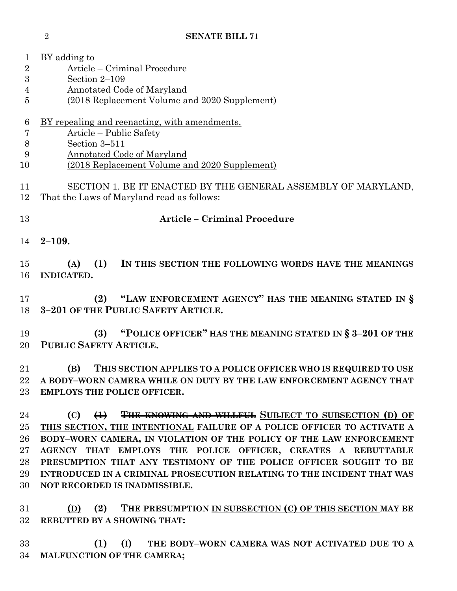| 1              | BY adding to                                                                            |  |  |  |  |
|----------------|-----------------------------------------------------------------------------------------|--|--|--|--|
| $\sqrt{2}$     | Article – Criminal Procedure                                                            |  |  |  |  |
| 3              | Section $2-109$                                                                         |  |  |  |  |
| 4              | Annotated Code of Maryland                                                              |  |  |  |  |
| 5              | (2018 Replacement Volume and 2020 Supplement)                                           |  |  |  |  |
| 6              | BY repealing and reenacting, with amendments,                                           |  |  |  |  |
| $\overline{7}$ | Article – Public Safety                                                                 |  |  |  |  |
| 8              | Section 3-511                                                                           |  |  |  |  |
| 9              | <b>Annotated Code of Maryland</b>                                                       |  |  |  |  |
| 10             | (2018 Replacement Volume and 2020 Supplement)                                           |  |  |  |  |
| 11             | SECTION 1. BE IT ENACTED BY THE GENERAL ASSEMBLY OF MARYLAND,                           |  |  |  |  |
| 12             | That the Laws of Maryland read as follows:                                              |  |  |  |  |
| 13             | <b>Article - Criminal Procedure</b>                                                     |  |  |  |  |
| 14             | $2 - 109.$                                                                              |  |  |  |  |
|                |                                                                                         |  |  |  |  |
| 15             | (1)<br>IN THIS SECTION THE FOLLOWING WORDS HAVE THE MEANINGS<br>(A)                     |  |  |  |  |
| 16             | <b>INDICATED.</b>                                                                       |  |  |  |  |
|                |                                                                                         |  |  |  |  |
| 17             | "LAW ENFORCEMENT AGENCY" HAS THE MEANING STATED IN §<br>(2)                             |  |  |  |  |
| 18             | 3-201 OF THE PUBLIC SAFETY ARTICLE.                                                     |  |  |  |  |
|                |                                                                                         |  |  |  |  |
| 19             | "POLICE OFFICER" HAS THE MEANING STATED IN § 3-201 OF THE<br>(3)                        |  |  |  |  |
| 20             | PUBLIC SAFETY ARTICLE.                                                                  |  |  |  |  |
|                |                                                                                         |  |  |  |  |
| 21             | THIS SECTION APPLIES TO A POLICE OFFICER WHO IS REQUIRED TO USE<br>(B)                  |  |  |  |  |
| 22             | A BODY-WORN CAMERA WHILE ON DUTY BY THE LAW ENFORCEMENT AGENCY THAT                     |  |  |  |  |
| 23             | <b>EMPLOYS THE POLICE OFFICER.</b>                                                      |  |  |  |  |
| 24             | (1) THE KNOWING AND WILLFUL SUBJECT TO SUBSECTION (D) OF<br>(C)                         |  |  |  |  |
| 25             | THIS SECTION, THE INTENTIONAL FAILURE OF A POLICE OFFICER TO ACTIVATE A                 |  |  |  |  |
| 26             | BODY-WORN CAMERA, IN VIOLATION OF THE POLICY OF THE LAW ENFORCEMENT                     |  |  |  |  |
| 27             | AGENCY THAT EMPLOYS THE POLICE OFFICER, CREATES A REBUTTABLE                            |  |  |  |  |
| 28             | PRESUMPTION THAT ANY TESTIMONY OF THE POLICE OFFICER SOUGHT TO BE                       |  |  |  |  |
| 29             | INTRODUCED IN A CRIMINAL PROSECUTION RELATING TO THE INCIDENT THAT WAS                  |  |  |  |  |
| 30             | NOT RECORDED IS INADMISSIBLE.                                                           |  |  |  |  |
|                |                                                                                         |  |  |  |  |
| 31             | (D) $\left(\frac{2}{2}\right)$ THE PRESUMPTION IN SUBSECTION (C) OF THIS SECTION MAY BE |  |  |  |  |
| 32             | REBUTTED BY A SHOWING THAT:                                                             |  |  |  |  |

 **(1) (I) THE BODY–WORN CAMERA WAS NOT ACTIVATED DUE TO A MALFUNCTION OF THE CAMERA;**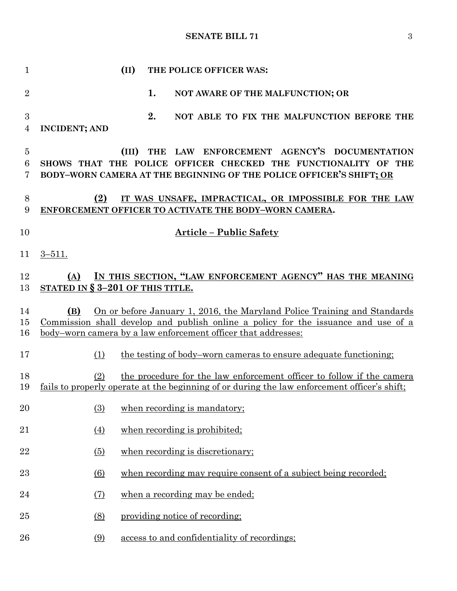# **SENATE BILL 71** 3

| 1                        |                                            | (II)  | THE POLICE OFFICER WAS:                                                                                                                                                                                                         |
|--------------------------|--------------------------------------------|-------|---------------------------------------------------------------------------------------------------------------------------------------------------------------------------------------------------------------------------------|
| $\overline{2}$           |                                            |       | 1.<br>NOT AWARE OF THE MALFUNCTION; OR                                                                                                                                                                                          |
| $\boldsymbol{3}$<br>4    | <b>INCIDENT; AND</b>                       |       | 2.<br>NOT ABLE TO FIX THE MALFUNCTION BEFORE THE                                                                                                                                                                                |
| $\overline{5}$<br>6<br>7 |                                            | (III) | LAW ENFORCEMENT AGENCY'S DOCUMENTATION<br><b>THE</b><br>SHOWS THAT THE POLICE OFFICER CHECKED THE FUNCTIONALITY OF THE<br>BODY-WORN CAMERA AT THE BEGINNING OF THE POLICE OFFICER'S SHIFT; OR                                   |
| 8<br>9                   | (2)                                        |       | IT WAS UNSAFE, IMPRACTICAL, OR IMPOSSIBLE FOR THE LAW<br>ENFORCEMENT OFFICER TO ACTIVATE THE BODY-WORN CAMERA.                                                                                                                  |
| 10                       |                                            |       | <b>Article - Public Safety</b>                                                                                                                                                                                                  |
| 11                       | $3 - 511.$                                 |       |                                                                                                                                                                                                                                 |
| 12<br>13                 | (A)<br>STATED IN $\S 3-201$ OF THIS TITLE. |       | IN THIS SECTION, "LAW ENFORCEMENT AGENCY" HAS THE MEANING                                                                                                                                                                       |
| 14<br>15<br>16           | (B)                                        |       | On or before January 1, 2016, the Maryland Police Training and Standards<br>Commission shall develop and publish online a policy for the issuance and use of a<br>body-worn camera by a law enforcement officer that addresses: |
| 17                       | (1)                                        |       | the testing of body–worn cameras to ensure adequate functioning;                                                                                                                                                                |
| 18<br>19                 | (2)                                        |       | the procedure for the law enforcement officer to follow if the camera<br>fails to properly operate at the beginning of or during the law enforcement officer's shift;                                                           |
| 20                       | (3)                                        |       | when recording is mandatory;                                                                                                                                                                                                    |
| 21                       | (4)                                        |       | when recording is prohibited;                                                                                                                                                                                                   |
| 22                       | (5)                                        |       | when recording is discretionary;                                                                                                                                                                                                |
| 23                       | (6)                                        |       | when recording may require consent of a subject being recorded;                                                                                                                                                                 |
| 24                       | $\left( 7\right)$                          |       | when a recording may be ended;                                                                                                                                                                                                  |
| 25                       | (8)                                        |       | providing notice of recording:                                                                                                                                                                                                  |
| 26                       | (9)                                        |       | access to and confidentiality of recordings;                                                                                                                                                                                    |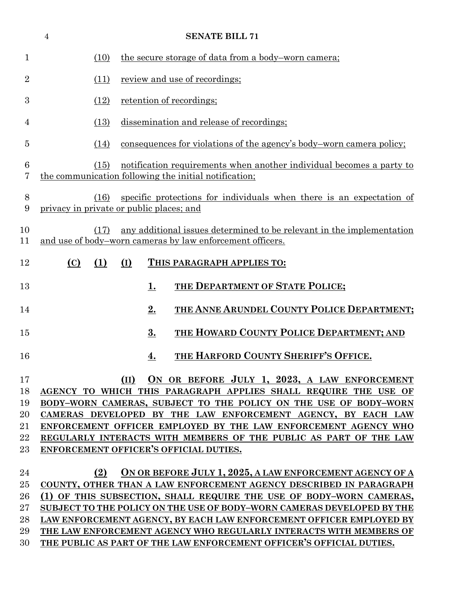|                           | $\overline{4}$ | <b>SENATE BILL 71</b>                                                                                                                     |
|---------------------------|----------------|-------------------------------------------------------------------------------------------------------------------------------------------|
| $\mathbf 1$               | (10)           | the secure storage of data from a body-worn camera;                                                                                       |
| $\overline{2}$            | (11)           | review and use of recordings;                                                                                                             |
| 3                         | (12)           | retention of recordings;                                                                                                                  |
| 4                         | (13)           | dissemination and release of recordings;                                                                                                  |
| $\overline{5}$            | (14)           | consequences for violations of the agency's body-worn camera policy;                                                                      |
| 6<br>7                    | (15)           | notification requirements when another individual becomes a party to<br>the communication following the initial notification;             |
| $8\,$<br>$\boldsymbol{9}$ | (16)           | specific protections for individuals when there is an expectation of<br>privacy in private or public places; and                          |
| 10<br>11                  | (17)           | any additional issues determined to be relevant in the implementation<br>and use of body-worn cameras by law enforcement officers.        |
| 12                        | (C)<br>(1)     | (I)<br>THIS PARAGRAPH APPLIES TO:                                                                                                         |
| 13                        |                | THE DEPARTMENT OF STATE POLICE;<br><u>1.</u>                                                                                              |
| 14                        |                | THE ANNE ARUNDEL COUNTY POLICE DEPARTMENT;<br>2.                                                                                          |
| 15                        |                | 3.<br>THE HOWARD COUNTY POLICE DEPARTMENT; AND                                                                                            |
| 16                        |                | THE HARFORD COUNTY SHERIFF'S OFFICE.<br><u>4.</u>                                                                                         |
| 17                        |                | ON OR BEFORE JULY 1, 2023, A LAW ENFORCEMENT<br>(II)                                                                                      |
| 18                        |                | AGENCY TO WHICH THIS PARAGRAPH APPLIES SHALL REQUIRE THE USE OF                                                                           |
| 19                        |                | BODY-WORN CAMERAS, SUBJECT TO THE POLICY ON THE USE OF BODY-WORN                                                                          |
| 20                        |                | CAMERAS DEVELOPED BY THE LAW ENFORCEMENT AGENCY, BY EACH LAW                                                                              |
| 21                        |                | ENFORCEMENT OFFICER EMPLOYED BY THE LAW ENFORCEMENT AGENCY WHO                                                                            |
| 22                        |                | REGULARLY INTERACTS WITH MEMBERS OF THE PUBLIC AS PART OF THE LAW                                                                         |
| $23\,$                    |                | ENFORCEMENT OFFICER'S OFFICIAL DUTIES.                                                                                                    |
|                           |                |                                                                                                                                           |
| 24                        | (2)            | ON OR BEFORE JULY 1, 2025, A LAW ENFORCEMENT AGENCY OF A                                                                                  |
| 25<br>26                  |                | COUNTY, OTHER THAN A LAW ENFORCEMENT AGENCY DESCRIBED IN PARAGRAPH<br>(1) OF THIS SUBSECTION, SHALL REQUIRE THE USE OF BODY-WORN CAMERAS, |
| $27\,$                    |                | SUBJECT TO THE POLICY ON THE USE OF BODY-WORN CAMERAS DEVELOPED BY THE                                                                    |
| 28                        |                | LAW ENFORCEMENT AGENCY, BY EACH LAW ENFORCEMENT OFFICER EMPLOYED BY                                                                       |
| 29                        |                | THE LAW ENFORCEMENT AGENCY WHO REGULARLY INTERACTS WITH MEMBERS OF                                                                        |
|                           |                |                                                                                                                                           |

**THE PUBLIC AS PART OF THE LAW ENFORCEMENT OFFICER'S OFFICIAL DUTIES.**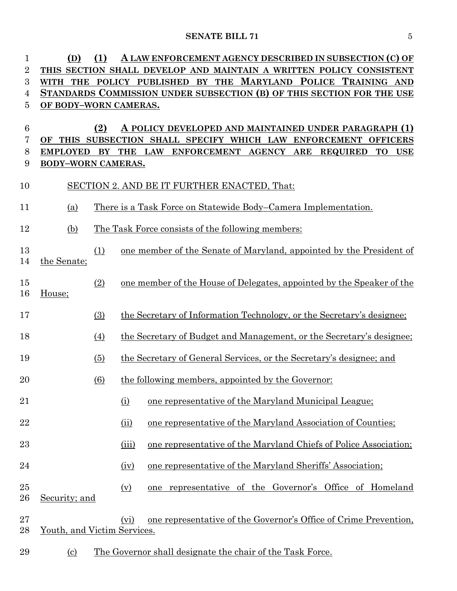# **SENATE BILL 71** 5

| $\mathbf{1}$   | (D)                         | (1)                    |                   | A LAW ENFORCEMENT AGENCY DESCRIBED IN SUBSECTION (C) OF               |
|----------------|-----------------------------|------------------------|-------------------|-----------------------------------------------------------------------|
| $\overline{2}$ |                             |                        |                   | THIS SECTION SHALL DEVELOP AND MAINTAIN A WRITTEN POLICY CONSISTENT   |
| 3              |                             |                        |                   | WITH THE POLICY PUBLISHED BY THE MARYLAND POLICE TRAINING AND         |
| 4              |                             |                        |                   | STANDARDS COMMISSION UNDER SUBSECTION (B) OF THIS SECTION FOR THE USE |
| $\overline{5}$ | OF BODY-WORN CAMERAS.       |                        |                   |                                                                       |
| 6              |                             | (2)                    |                   | A POLICY DEVELOPED AND MAINTAINED UNDER PARAGRAPH (1)                 |
| 7              |                             |                        |                   | OF THIS SUBSECTION SHALL SPECIFY WHICH LAW ENFORCEMENT OFFICERS       |
| 8              | <b>EMPLOYED</b>             | $\mathbf{B}\mathbf{Y}$ |                   | THE LAW ENFORCEMENT AGENCY ARE REQUIRED<br><b>TO</b><br><b>USE</b>    |
| 9              | BODY-WORN CAMERAS.          |                        |                   |                                                                       |
| 10             |                             |                        |                   | SECTION 2. AND BE IT FURTHER ENACTED, That:                           |
| 11             | <u>(a)</u>                  |                        |                   | There is a Task Force on Statewide Body–Camera Implementation.        |
| 12             | (b)                         |                        |                   | The Task Force consists of the following members:                     |
| 13<br>14       | the Senate;                 | (1)                    |                   | one member of the Senate of Maryland, appointed by the President of   |
| 15<br>16       | House;                      | (2)                    |                   | one member of the House of Delegates, appointed by the Speaker of the |
| 17             |                             | (3)                    |                   | the Secretary of Information Technology, or the Secretary's designee; |
| 18             |                             | (4)                    |                   | the Secretary of Budget and Management, or the Secretary's designee;  |
| 19             |                             | (5)                    |                   | the Secretary of General Services, or the Secretary's designee; and   |
| 20             |                             | (6)                    |                   | the following members, appointed by the Governor:                     |
| 21             |                             |                        | (i)               | one representative of the Maryland Municipal League;                  |
| 22             |                             |                        | (ii)              | one representative of the Maryland Association of Counties;           |
| 23             |                             |                        | (iii)             | one representative of the Maryland Chiefs of Police Association;      |
| 24             |                             |                        | (iv)              | one representative of the Maryland Sheriffs' Association;             |
| 25<br>26       | Security; and               |                        | $(\underline{v})$ | one representative of the Governor's Office of Homeland               |
| $27\,$<br>28   | Youth, and Victim Services. |                        | (vi)              | one representative of the Governor's Office of Crime Prevention,      |
| 29             | <u>(c)</u>                  |                        |                   | <u>The Governor shall designate the chair of the Task Force.</u>      |